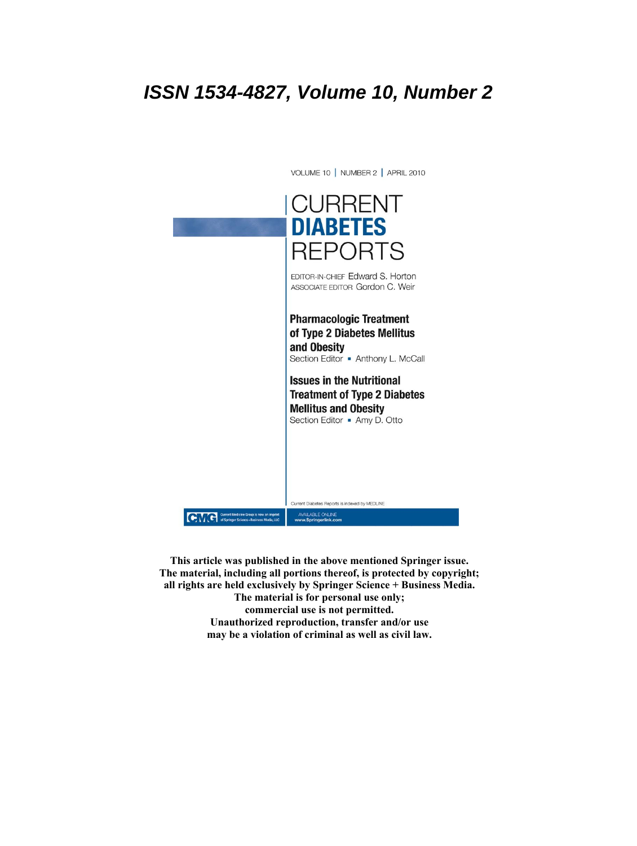# **ISSN 1534-4827, Volume 10, Number 2**



**This article was published in the above mentioned Springer issue. The material, including all portions thereof, is protected by copyright; all rights are held exclusively by Springer Science + Business Media. The material is for personal use only; commercial use is not permitted. Unauthorized reproduction, transfer and/or use may be a violation of criminal as well as civil law.**

VOLUME 10 | NUMBER 2 | APRIL 2010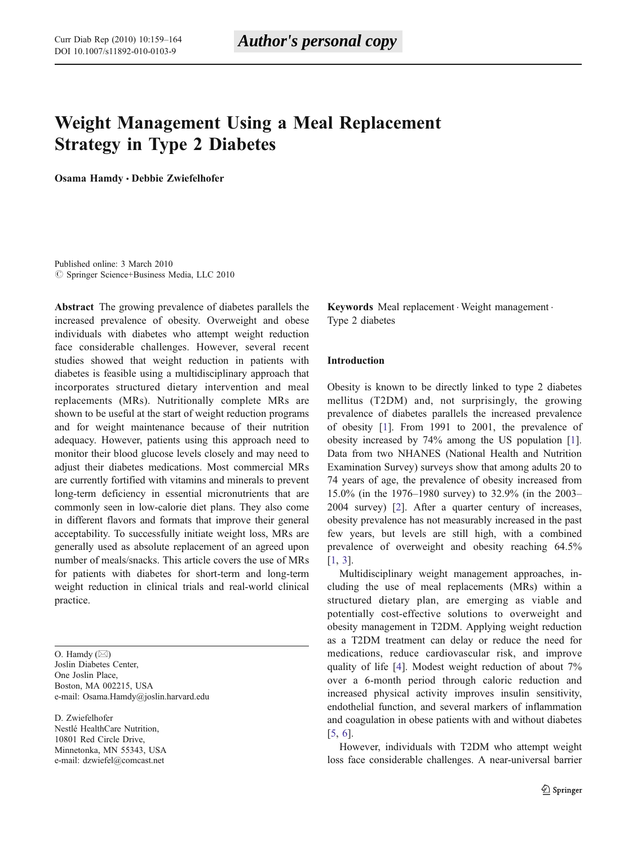## Weight Management Using a Meal Replacement Strategy in Type 2 Diabetes

Osama Hamdy · Debbie Zwiefelhofer

Published online: 3 March 2010  $\oslash$  Springer Science+Business Media, LLC 2010

Abstract The growing prevalence of diabetes parallels the increased prevalence of obesity. Overweight and obese individuals with diabetes who attempt weight reduction face considerable challenges. However, several recent studies showed that weight reduction in patients with diabetes is feasible using a multidisciplinary approach that incorporates structured dietary intervention and meal replacements (MRs). Nutritionally complete MRs are shown to be useful at the start of weight reduction programs and for weight maintenance because of their nutrition adequacy. However, patients using this approach need to monitor their blood glucose levels closely and may need to adjust their diabetes medications. Most commercial MRs are currently fortified with vitamins and minerals to prevent long-term deficiency in essential micronutrients that are commonly seen in low-calorie diet plans. They also come in different flavors and formats that improve their general acceptability. To successfully initiate weight loss, MRs are generally used as absolute replacement of an agreed upon number of meals/snacks. This article covers the use of MRs for patients with diabetes for short-term and long-term weight reduction in clinical trials and real-world clinical practice.

O. Hamdy  $(\boxtimes)$ Joslin Diabetes Center, One Joslin Place, Boston, MA 002215, USA e-mail: Osama.Hamdy@joslin.harvard.edu

D. Zwiefelhofer Nestlé HealthCare Nutrition, 10801 Red Circle Drive, Minnetonka, MN 55343, USA e-mail: dzwiefel@comcast.net

Keywords Meal replacement . Weight management . Type 2 diabetes

#### Introduction

Obesity is known to be directly linked to type 2 diabetes mellitus (T2DM) and, not surprisingly, the growing prevalence of diabetes parallels the increased prevalence of obesity [[1\]](#page-6-0). From 1991 to 2001, the prevalence of obesity increased by 74% among the US population [[1\]](#page-6-0). Data from two NHANES (National Health and Nutrition Examination Survey) surveys show that among adults 20 to 74 years of age, the prevalence of obesity increased from 15.0% (in the 1976–1980 survey) to 32.9% (in the 2003– 2004 survey) [\[2](#page-6-0)]. After a quarter century of increases, obesity prevalence has not measurably increased in the past few years, but levels are still high, with a combined prevalence of overweight and obesity reaching 64.5% [\[1](#page-6-0), [3](#page-6-0)].

Multidisciplinary weight management approaches, including the use of meal replacements (MRs) within a structured dietary plan, are emerging as viable and potentially cost-effective solutions to overweight and obesity management in T2DM. Applying weight reduction as a T2DM treatment can delay or reduce the need for medications, reduce cardiovascular risk, and improve quality of life [[4\]](#page-6-0). Modest weight reduction of about 7% over a 6-month period through caloric reduction and increased physical activity improves insulin sensitivity, endothelial function, and several markers of inflammation and coagulation in obese patients with and without diabetes [\[5](#page-6-0), [6](#page-6-0)].

However, individuals with T2DM who attempt weight loss face considerable challenges. A near-universal barrier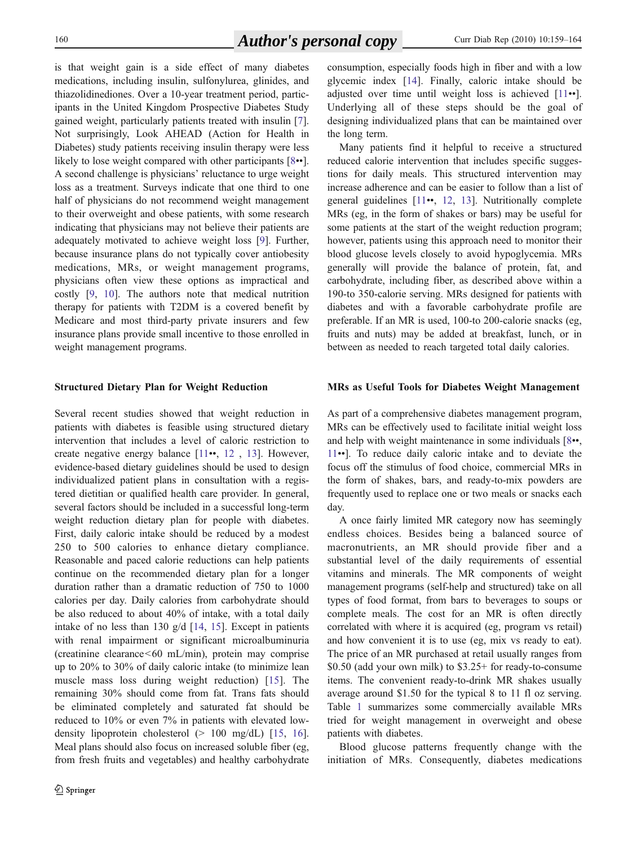is that weight gain is a side effect of many diabetes medications, including insulin, sulfonylurea, glinides, and thiazolidinediones. Over a 10-year treatment period, participants in the United Kingdom Prospective Diabetes Study gained weight, particularly patients treated with insulin [\[7](#page-6-0)]. Not surprisingly, Look AHEAD (Action for Health in Diabetes) study patients receiving insulin therapy were less likely to lose weight compared with other participants [[8](#page-6-0)••]. A second challenge is physicians' reluctance to urge weight loss as a treatment. Surveys indicate that one third to one half of physicians do not recommend weight management to their overweight and obese patients, with some research indicating that physicians may not believe their patients are adequately motivated to achieve weight loss [[9\]](#page-6-0). Further, because insurance plans do not typically cover antiobesity medications, MRs, or weight management programs, physicians often view these options as impractical and costly [[9,](#page-6-0) [10\]](#page-6-0). The authors note that medical nutrition therapy for patients with T2DM is a covered benefit by Medicare and most third-party private insurers and few insurance plans provide small incentive to those enrolled in weight management programs.

#### Structured Dietary Plan for Weight Reduction

Several recent studies showed that weight reduction in patients with diabetes is feasible using structured dietary intervention that includes a level of caloric restriction to create negative energy balance [[11](#page-6-0)••, [12](#page-6-0) , [13\]](#page-6-0). However, evidence-based dietary guidelines should be used to design individualized patient plans in consultation with a registered dietitian or qualified health care provider. In general, several factors should be included in a successful long-term weight reduction dietary plan for people with diabetes. First, daily caloric intake should be reduced by a modest 250 to 500 calories to enhance dietary compliance. Reasonable and paced calorie reductions can help patients continue on the recommended dietary plan for a longer duration rather than a dramatic reduction of 750 to 1000 calories per day. Daily calories from carbohydrate should be also reduced to about 40% of intake, with a total daily intake of no less than 130 g/d [[14,](#page-6-0) [15\]](#page-6-0). Except in patients with renal impairment or significant microalbuminuria (creatinine clearance<60 mL/min), protein may comprise up to 20% to 30% of daily caloric intake (to minimize lean muscle mass loss during weight reduction) [\[15](#page-6-0)]. The remaining 30% should come from fat. Trans fats should be eliminated completely and saturated fat should be reduced to 10% or even 7% in patients with elevated lowdensity lipoprotein cholesterol (> 100 mg/dL) [[15](#page-6-0), [16](#page-6-0)]. Meal plans should also focus on increased soluble fiber (eg, from fresh fruits and vegetables) and healthy carbohydrate consumption, especially foods high in fiber and with a low glycemic index [\[14](#page-6-0)]. Finally, caloric intake should be adjusted over time until weight loss is achieved [[11](#page-6-0)••]. Underlying all of these steps should be the goal of designing individualized plans that can be maintained over the long term.

Many patients find it helpful to receive a structured reduced calorie intervention that includes specific suggestions for daily meals. This structured intervention may increase adherence and can be easier to follow than a list of general guidelines [\[11](#page-6-0)••, [12](#page-6-0), [13](#page-6-0)]. Nutritionally complete MRs (eg, in the form of shakes or bars) may be useful for some patients at the start of the weight reduction program; however, patients using this approach need to monitor their blood glucose levels closely to avoid hypoglycemia. MRs generally will provide the balance of protein, fat, and carbohydrate, including fiber, as described above within a 190-to 350-calorie serving. MRs designed for patients with diabetes and with a favorable carbohydrate profile are preferable. If an MR is used, 100-to 200-calorie snacks (eg, fruits and nuts) may be added at breakfast, lunch, or in between as needed to reach targeted total daily calories.

#### MRs as Useful Tools for Diabetes Weight Management

As part of a comprehensive diabetes management program, MRs can be effectively used to facilitate initial weight loss and help with weight maintenance in some individuals [[8](#page-6-0)••, [11](#page-6-0)••]. To reduce daily caloric intake and to deviate the focus off the stimulus of food choice, commercial MRs in the form of shakes, bars, and ready-to-mix powders are frequently used to replace one or two meals or snacks each day.

A once fairly limited MR category now has seemingly endless choices. Besides being a balanced source of macronutrients, an MR should provide fiber and a substantial level of the daily requirements of essential vitamins and minerals. The MR components of weight management programs (self-help and structured) take on all types of food format, from bars to beverages to soups or complete meals. The cost for an MR is often directly correlated with where it is acquired (eg, program vs retail) and how convenient it is to use (eg, mix vs ready to eat). The price of an MR purchased at retail usually ranges from \$0.50 (add your own milk) to \$3.25+ for ready-to-consume items. The convenient ready-to-drink MR shakes usually average around \$1.50 for the typical 8 to 11 fl oz serving. Table [1](#page-3-0) summarizes some commercially available MRs tried for weight management in overweight and obese patients with diabetes.

Blood glucose patterns frequently change with the initiation of MRs. Consequently, diabetes medications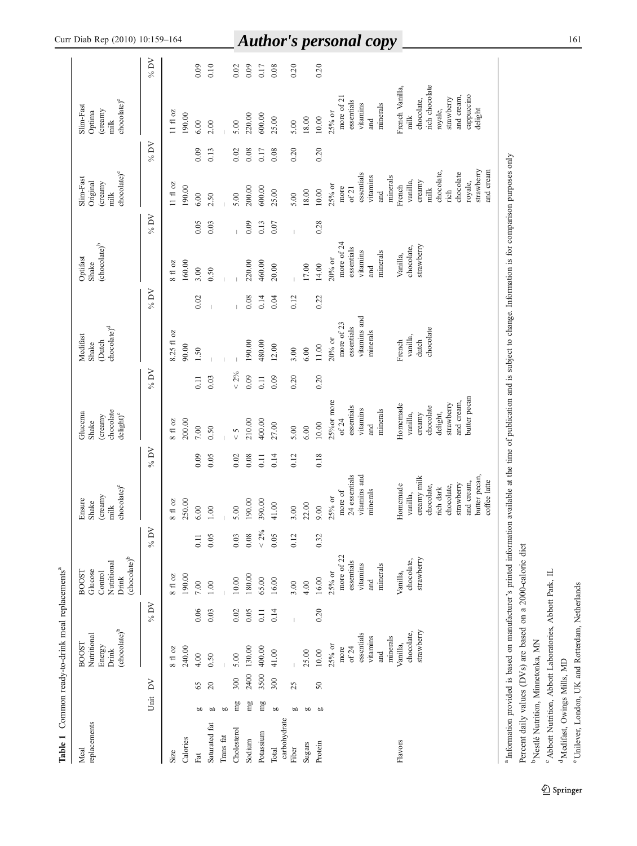|                                                                                         | $\%$ DV                 |                              | 0.09                      | 0.10           |           | 0.02                 | $\overline{1}$<br>0.09 | 0.17      | 0.08                  | IJ<br>0.20     |        | 0.20     | unuv<br>$\mathbf{v}$                                                                                                                                                                        |
|-----------------------------------------------------------------------------------------|-------------------------|------------------------------|---------------------------|----------------|-----------|----------------------|------------------------|-----------|-----------------------|----------------|--------|----------|---------------------------------------------------------------------------------------------------------------------------------------------------------------------------------------------|
| chocolate) <sup>e</sup><br>Slim-Fast<br>(creamy<br>Optima<br>$\frac{1}{2}$              |                         | $11~\mathrm{f}1~\mathrm{oz}$ | 190.00<br>6.00            | 2.00           |           | 5.00                 | 220.00                 | 600.00    | 25.00                 | 5.00           | 18.00  | $10.00$  | rich chocolate<br>French Vanilla<br>cappuccino<br>and cream,<br>more of 21<br>strawberry<br>chocolate,<br>essentials<br>vitamins<br>minerals<br>delight<br>royale,<br>25% or<br>milk<br>and |
|                                                                                         | % DV                    |                              | 0.09                      | 0.13           |           | 0.02                 | 0.08                   | 0.17      | 0.08                  | 0.20           |        | 0.20     |                                                                                                                                                                                             |
| chocolate) <sup>e</sup><br>Slim-Fast<br>Original<br>(creamy<br>$\overline{\text{milk}}$ |                         | $11~\mathrm{f}\,$ oz         | 190.00<br>6.00            | 2.50           |           | 5.00                 | 200.00                 | 600.00    | 25.00                 | 5.00           | 18.00  | $10.00$  | strawberry<br>chocolate,<br>chocolate<br>essentials<br>vitamins<br>minerals<br>vanilla,<br>creamy<br>royale,<br>French<br>25% or<br>more<br>of 21<br>milk<br>$\dot{n}$ ch<br>and            |
|                                                                                         | $\%$ DV                 |                              | 0.05                      | 0.03           |           |                      | 0.09                   | 0.13      | 0.07                  | $\overline{1}$ |        | 0.28     |                                                                                                                                                                                             |
| (chocolate) <sup>b</sup><br>Optifast<br>Shake                                           |                         | $8$ fl $oz$                  | 160.00<br>3.00            | 0.50           |           |                      | 220.00                 | 460.00    | 20.00                 |                | 17.00  | 14.00    | more of 24<br>strawberry<br>chocolate,<br>essentials<br>vitamins<br>minerals<br>Vanilla,<br>$20\%$ or<br>and                                                                                |
|                                                                                         | % DV                    |                              | 0.02                      | $\overline{1}$ |           |                      | $0.08\,$               | 0.14      | 0.04                  | 0.12           |        | 0.22     |                                                                                                                                                                                             |
| chocolate) <sup>d</sup><br>Medifast<br><b>Dutch</b><br>Shake                            |                         | 8.25 fl oz                   | 90.00<br>1.50             |                |           |                      | 190.00                 | 480.00    | 12.00                 | 3.00           | 6.00   | $11.00$  | vitamins and<br>more of $23$<br>essentials<br>chocolate<br>minerals<br>vanilla,<br>$20\%$ or<br>dutch<br>French                                                                             |
|                                                                                         | %DV                     |                              | 0.11                      | 0.03           |           | $< 2\%$              | 0.09                   | 0.11      | 0.09                  | 0.20           |        | 0.20     |                                                                                                                                                                                             |
| chocolate<br>Glucema<br>$\text{delight}$ <sup>c</sup><br>creamy)<br>Shake               |                         | $8$ fl oz                    | 200.00<br>$7.00\,$        | 0.50           |           | $\frac{2}{\sqrt{2}}$ | 210.00                 | 400.00    | 27.00                 | 5.00           | 6.00   | 10.00    | butter pecan<br>25% or more<br>and cream,<br>strawberry<br>Homemade<br>essentials<br>chocolate<br>vitamins<br>minerals<br>delight,<br>vanilla,<br>creamy<br>of 24<br>and                    |
|                                                                                         | % DV                    |                              | 0.09                      | 0.05           |           | 0.02                 | 0.08                   | 0.11      | 0.14                  | 0.12           |        | 0.18     |                                                                                                                                                                                             |
| chocolate) <sup>c</sup><br>(creamy<br>Ensure<br>Shake<br>milk                           |                         | $8$ fl oz                    | 250.00<br>6.00            | 1.00           |           | 5.00                 | 190.00                 | 390.00    | 41.00                 | 3.00           | 22.00  | 9.00     | 24 essentials<br>vitamins and<br>butter pecan,<br>creamy milk<br>and cream,<br>strawberry<br>Homemade<br>chocolate,<br>chocolate,<br>rich dark<br>minerals<br>more of<br>vanilla,<br>25% or |
|                                                                                         | $\%$ DV                 |                              | $\overline{0.11}$         | 0.05           |           | 0.03                 | 0.08                   | $< 2\%$   | 0.05                  | 0.12           |        | 0.32     |                                                                                                                                                                                             |
| (chocolate) <sup>b</sup><br>Nutritional<br>Glucose<br>Control<br>BOOST<br>Drink         |                         | $8$ fl $oz$                  | 190.00<br>$7.00\,$        | $1.00\,$       |           | $10.00$              | 180.00                 | 65.00     | $16.00\,$             | 3.00           | 4.00   | $16.00$  | more of 22<br>strawberry<br>chocolate,<br>essentials<br>vitamins<br>minerals<br>Vanilla,<br>25% or<br>and                                                                                   |
|                                                                                         | $\geq$<br>$\frac{6}{6}$ |                              | 0.06                      | 0.03           |           | 0.02                 | 0.05                   | 0.11      | 0.14                  | $\bar{1}$      |        | 0.20     |                                                                                                                                                                                             |
| ${\rm (choose date)}^{\rm b}$<br>Nutritional<br>BO <sub>OST</sub><br>Energy<br>Drink    |                         | $8\,$ fl oz                  | 240.00<br>4.00            | 0.50           |           | 5.00                 | 130.00                 | 400.00    | 41.00                 |                | 25.00  | $10.00$  | strawberry<br>chocolate,<br>essentials<br>minerals<br>vitamins<br>Vanilla,<br>25% or<br>of $24$<br>more<br>and                                                                              |
|                                                                                         | $\geq$                  |                              | 65                        | 20             |           | 300                  | 2400                   | 3500      | 300                   | 25             |        | $50\,$   |                                                                                                                                                                                             |
|                                                                                         | Unit                    |                              | 60                        | <b>b</b>       | <b>b</b>  | mg                   | mg                     | mg        | <b>b</b>              | g              | go     | <b>b</b> |                                                                                                                                                                                             |
| replacements<br>Meal                                                                    |                         | Size                         | Calories<br>$_{\rm{Fat}}$ | Saturated fat  | Trans fat | Cholesterol          | Sodium                 | Potassium | carbohydrate<br>Total | Fiber          | Sugars | Protein  | Flavors                                                                                                                                                                                     |

<sup>a</sup> Information provided is based on manufacturer's printed information available at the time of publication and is subject to change. Information is for comparison purposes only Information provided is based on manufacturer's printed information available at the time of publication and is subject to change. Information is for comparison purposes only Percent daily values (DVs) are based on a 2000-calorie diet Percent daily values (DVs) are based on a 2000-calorie diet

 $^{\rm b}$  Nestlé Nutrition, Minnetonka, MN b Nestlé Nutrition, Minnetonka, MN

<sup>6</sup> Abbott Nutrition, Abbott Laboratories, Abbott Park, IL Abbott Nutrition, Abbott Laboratories, Abbott Park, IL

<sup>d</sup> Medifast, Owings Mills, MD Medifast, Owings Mills, MD

<sup>e</sup> Unilever, London, UK and Rotterdam, Netherlands Unilever, London, UK and Rotterdam, Netherlands

<span id="page-3-0"></span>Curr Diab Rep (2010) 10:159

### –<sup>164</sup> <sup>161</sup> *Author's personal copy*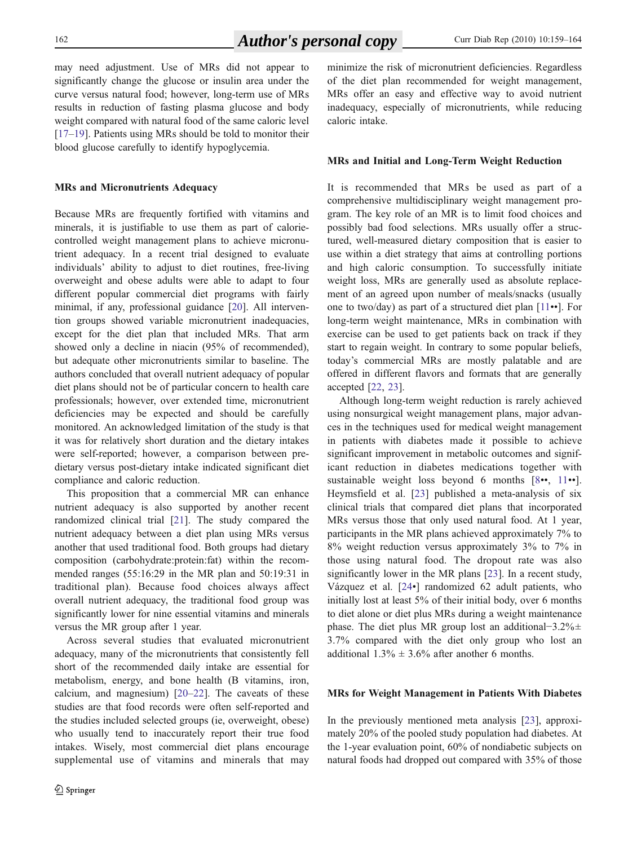may need adjustment. Use of MRs did not appear to significantly change the glucose or insulin area under the curve versus natural food; however, long-term use of MRs results in reduction of fasting plasma glucose and body weight compared with natural food of the same caloric level [\[17](#page-6-0)–[19](#page-6-0)]. Patients using MRs should be told to monitor their blood glucose carefully to identify hypoglycemia.

#### MRs and Micronutrients Adequacy

Because MRs are frequently fortified with vitamins and minerals, it is justifiable to use them as part of caloriecontrolled weight management plans to achieve micronutrient adequacy. In a recent trial designed to evaluate individuals' ability to adjust to diet routines, free-living overweight and obese adults were able to adapt to four different popular commercial diet programs with fairly minimal, if any, professional guidance [[20\]](#page-6-0). All intervention groups showed variable micronutrient inadequacies, except for the diet plan that included MRs. That arm showed only a decline in niacin (95% of recommended), but adequate other micronutrients similar to baseline. The authors concluded that overall nutrient adequacy of popular diet plans should not be of particular concern to health care professionals; however, over extended time, micronutrient deficiencies may be expected and should be carefully monitored. An acknowledged limitation of the study is that it was for relatively short duration and the dietary intakes were self-reported; however, a comparison between predietary versus post-dietary intake indicated significant diet compliance and caloric reduction.

This proposition that a commercial MR can enhance nutrient adequacy is also supported by another recent randomized clinical trial [[21\]](#page-6-0). The study compared the nutrient adequacy between a diet plan using MRs versus another that used traditional food. Both groups had dietary composition (carbohydrate:protein:fat) within the recommended ranges (55:16:29 in the MR plan and 50:19:31 in traditional plan). Because food choices always affect overall nutrient adequacy, the traditional food group was significantly lower for nine essential vitamins and minerals versus the MR group after 1 year.

Across several studies that evaluated micronutrient adequacy, many of the micronutrients that consistently fell short of the recommended daily intake are essential for metabolism, energy, and bone health (B vitamins, iron, calcium, and magnesium) [[20](#page-6-0)–[22\]](#page-6-0). The caveats of these studies are that food records were often self-reported and the studies included selected groups (ie, overweight, obese) who usually tend to inaccurately report their true food intakes. Wisely, most commercial diet plans encourage supplemental use of vitamins and minerals that may minimize the risk of micronutrient deficiencies. Regardless of the diet plan recommended for weight management, MRs offer an easy and effective way to avoid nutrient inadequacy, especially of micronutrients, while reducing caloric intake.

#### MRs and Initial and Long-Term Weight Reduction

It is recommended that MRs be used as part of a comprehensive multidisciplinary weight management program. The key role of an MR is to limit food choices and possibly bad food selections. MRs usually offer a structured, well-measured dietary composition that is easier to use within a diet strategy that aims at controlling portions and high caloric consumption. To successfully initiate weight loss, MRs are generally used as absolute replacement of an agreed upon number of meals/snacks (usually one to two/day) as part of a structured diet plan [\[11](#page-6-0)••]. For long-term weight maintenance, MRs in combination with exercise can be used to get patients back on track if they start to regain weight. In contrary to some popular beliefs, today's commercial MRs are mostly palatable and are offered in different flavors and formats that are generally accepted [\[22](#page-6-0), [23\]](#page-6-0).

Although long-term weight reduction is rarely achieved using nonsurgical weight management plans, major advances in the techniques used for medical weight management in patients with diabetes made it possible to achieve significant improvement in metabolic outcomes and significant reduction in diabetes medications together with sustainable weight loss beyond 6 months [\[8](#page-6-0)••, [11](#page-6-0)••]. Heymsfield et al. [[23\]](#page-6-0) published a meta-analysis of six clinical trials that compared diet plans that incorporated MRs versus those that only used natural food. At 1 year, participants in the MR plans achieved approximately 7% to 8% weight reduction versus approximately 3% to 7% in those using natural food. The dropout rate was also significantly lower in the MR plans [\[23](#page-6-0)]. In a recent study, Vázquez et al. [[24](#page-6-0)•] randomized 62 adult patients, who initially lost at least 5% of their initial body, over 6 months to diet alone or diet plus MRs during a weight maintenance phase. The diet plus MR group lost an additional−3.2%± 3.7% compared with the diet only group who lost an additional  $1.3\% \pm 3.6\%$  after another 6 months.

#### MRs for Weight Management in Patients With Diabetes

In the previously mentioned meta analysis [[23\]](#page-6-0), approximately 20% of the pooled study population had diabetes. At the 1-year evaluation point, 60% of nondiabetic subjects on natural foods had dropped out compared with 35% of those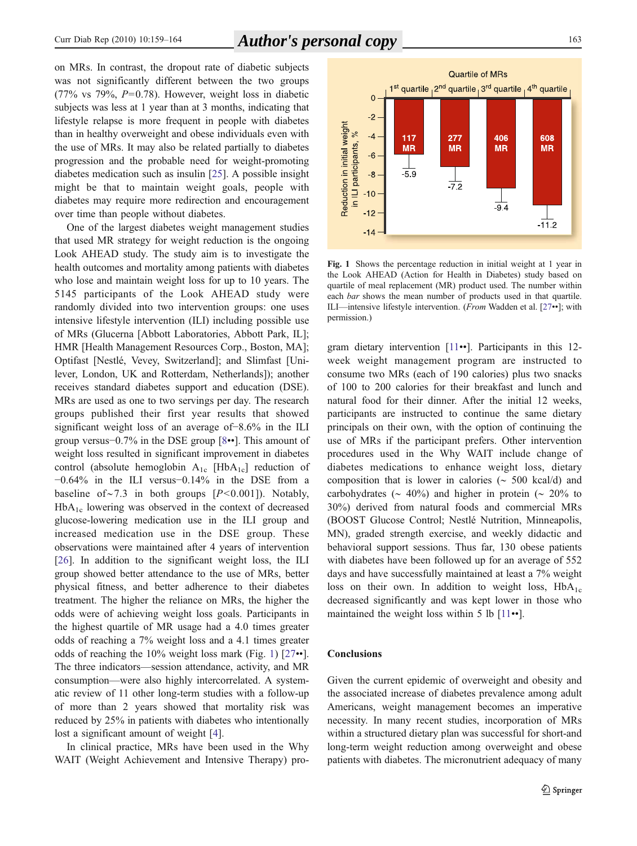on MRs. In contrast, the dropout rate of diabetic subjects was not significantly different between the two groups (77% vs 79%,  $P=0.78$ ). However, weight loss in diabetic subjects was less at 1 year than at 3 months, indicating that lifestyle relapse is more frequent in people with diabetes than in healthy overweight and obese individuals even with the use of MRs. It may also be related partially to diabetes progression and the probable need for weight-promoting diabetes medication such as insulin [\[25](#page-6-0)]. A possible insight might be that to maintain weight goals, people with diabetes may require more redirection and encouragement over time than people without diabetes.

One of the largest diabetes weight management studies that used MR strategy for weight reduction is the ongoing Look AHEAD study. The study aim is to investigate the health outcomes and mortality among patients with diabetes who lose and maintain weight loss for up to 10 years. The 5145 participants of the Look AHEAD study were randomly divided into two intervention groups: one uses intensive lifestyle intervention (ILI) including possible use of MRs (Glucerna [Abbott Laboratories, Abbott Park, IL]; HMR [Health Management Resources Corp., Boston, MA]; Optifast [Nestlé, Vevey, Switzerland]; and Slimfast [Unilever, London, UK and Rotterdam, Netherlands]); another receives standard diabetes support and education (DSE). MRs are used as one to two servings per day. The research groups published their first year results that showed significant weight loss of an average of−8.6% in the ILI group versus−0.7% in the DSE group [[8](#page-6-0)••]. This amount of weight loss resulted in significant improvement in diabetes control (absolute hemoglobin  $A_{1c}$  [Hb $A_{1c}$ ] reduction of −0.64% in the ILI versus−0.14% in the DSE from a baseline of∼7.3 in both groups  $[P<0.001]$ ). Notably,  $HbA_{1c}$  lowering was observed in the context of decreased glucose-lowering medication use in the ILI group and increased medication use in the DSE group. These observations were maintained after 4 years of intervention [\[26](#page-6-0)]. In addition to the significant weight loss, the ILI group showed better attendance to the use of MRs, better physical fitness, and better adherence to their diabetes treatment. The higher the reliance on MRs, the higher the odds were of achieving weight loss goals. Participants in the highest quartile of MR usage had a 4.0 times greater odds of reaching a 7% weight loss and a 4.1 times greater odds of reaching the 10% weight loss mark (Fig. 1) [[27](#page-6-0)••]. The three indicators—session attendance, activity, and MR consumption—were also highly intercorrelated. A systematic review of 11 other long-term studies with a follow-up of more than 2 years showed that mortality risk was reduced by 25% in patients with diabetes who intentionally lost a significant amount of weight [\[4](#page-6-0)].

In clinical practice, MRs have been used in the Why WAIT (Weight Achievement and Intensive Therapy) pro-



Fig. 1 Shows the percentage reduction in initial weight at 1 year in the Look AHEAD (Action for Health in Diabetes) study based on quartile of meal replacement (MR) product used. The number within each *bar* shows the mean number of products used in that quartile. ILI—intensive lifestyle intervention. (From Wadden et al. [[27](#page-6-0)••]; with permission.)

gram dietary intervention [[11](#page-6-0)••]. Participants in this 12 week weight management program are instructed to consume two MRs (each of 190 calories) plus two snacks of 100 to 200 calories for their breakfast and lunch and natural food for their dinner. After the initial 12 weeks, participants are instructed to continue the same dietary principals on their own, with the option of continuing the use of MRs if the participant prefers. Other intervention procedures used in the Why WAIT include change of diabetes medications to enhance weight loss, dietary composition that is lower in calories (∼ 500 kcal/d) and carbohydrates ( $\sim 40\%$ ) and higher in protein ( $\sim 20\%$  to 30%) derived from natural foods and commercial MRs (BOOST Glucose Control; Nestlé Nutrition, Minneapolis, MN), graded strength exercise, and weekly didactic and behavioral support sessions. Thus far, 130 obese patients with diabetes have been followed up for an average of 552 days and have successfully maintained at least a 7% weight loss on their own. In addition to weight loss,  $HbA_{1c}$ decreased significantly and was kept lower in those who maintained the weight loss within 5 lb  $[11\bullet\bullet]$  $[11\bullet\bullet]$  $[11\bullet\bullet]$ .

#### **Conclusions**

Given the current epidemic of overweight and obesity and the associated increase of diabetes prevalence among adult Americans, weight management becomes an imperative necessity. In many recent studies, incorporation of MRs within a structured dietary plan was successful for short-and long-term weight reduction among overweight and obese patients with diabetes. The micronutrient adequacy of many